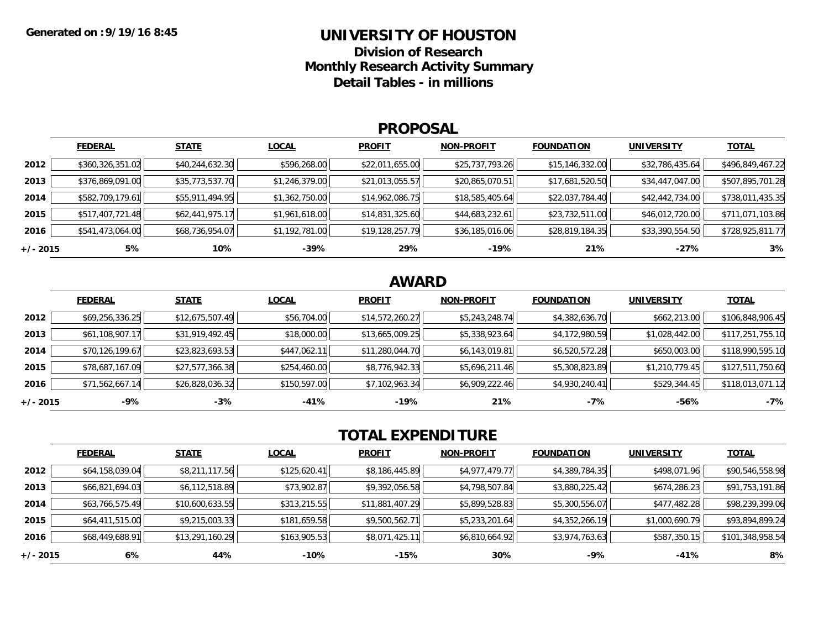# **UNIVERSITY OF HOUSTON**

**Division of ResearchMonthly Research Activity Summary Detail Tables - in millions**

#### **PROPOSAL**

|            | <b>FEDERAL</b>   | <b>STATE</b>    | <b>LOCAL</b>   | <b>PROFIT</b>   | <b>NON-PROFIT</b> | <b>FOUNDATION</b> | <b>UNIVERSITY</b> | <b>TOTAL</b>     |
|------------|------------------|-----------------|----------------|-----------------|-------------------|-------------------|-------------------|------------------|
| 2012       | \$360,326,351.02 | \$40,244,632.30 | \$596,268.00   | \$22,011,655.00 | \$25,737,793.26   | \$15,146,332.00   | \$32,786,435.64   | \$496,849,467.22 |
| 2013       | \$376,869,091.00 | \$35,773,537.70 | \$1,246,379.00 | \$21,013,055.57 | \$20,865,070.51   | \$17,681,520.50   | \$34,447,047.00   | \$507,895,701.28 |
| 2014       | \$582,709,179.61 | \$55,911,494.95 | \$1,362,750.00 | \$14,962,086.75 | \$18,585,405.64   | \$22,037,784.40   | \$42,442,734.00   | \$738,011,435.35 |
| 2015       | \$517,407,721.48 | \$62,441,975.17 | \$1,961,618.00 | \$14,831,325.60 | \$44,683,232.61   | \$23,732,511.00   | \$46,012,720.00   | \$711,071,103.86 |
| 2016       | \$541,473,064.00 | \$68,736,954.07 | \$1,192,781.00 | \$19,128,257.79 | \$36,185,016.06   | \$28,819,184.35   | \$33,390,554.50   | \$728,925,811.77 |
| $+/- 2015$ | 5%               | 10%             | $-39%$         | 29%             | $-19%$            | 21%               | $-27%$            | 3%               |

### **AWARD**

|          | <b>FEDERAL</b>  | <b>STATE</b>    | <b>LOCAL</b> | <b>PROFIT</b>   | <b>NON-PROFIT</b> | <b>FOUNDATION</b> | <b>UNIVERSITY</b> | <b>TOTAL</b>     |
|----------|-----------------|-----------------|--------------|-----------------|-------------------|-------------------|-------------------|------------------|
| 2012     | \$69,256,336.25 | \$12,675,507.49 | \$56,704.00  | \$14,572,260.27 | \$5,243,248.74    | \$4,382,636.70    | \$662,213.00      | \$106,848,906.45 |
| 2013     | \$61,108,907.17 | \$31,919,492.45 | \$18,000.00  | \$13,665,009.25 | \$5,338,923.64    | \$4,172,980.59    | \$1,028,442.00    | \$117,251,755.10 |
| 2014     | \$70,126,199.67 | \$23,823,693.53 | \$447,062.11 | \$11,280,044.70 | \$6,143,019.81    | \$6,520,572.28    | \$650,003.00      | \$118,990,595.10 |
| 2015     | \$78,687,167.09 | \$27,577,366.38 | \$254,460.00 | \$8,776,942.33  | \$5,696,211.46    | \$5,308,823.89    | \$1,210,779.45    | \$127,511,750.60 |
| 2016     | \$71,562,667.14 | \$26,828,036.32 | \$150,597.00 | \$7,102,963.34  | \$6,909,222.46    | \$4,930,240.41    | \$529,344.45      | \$118,013,071.12 |
| +/- 2015 | -9%             | $-3%$           | -41%         | -19%            | 21%               | -7%               | -56%              | $-7%$            |

## **TOTAL EXPENDITURE**

|          | <b>FEDERAL</b>  | <b>STATE</b>    | <b>LOCAL</b> | <b>PROFIT</b>   | <b>NON-PROFIT</b> | <b>FOUNDATION</b> | <b>UNIVERSITY</b> | <b>TOTAL</b>     |
|----------|-----------------|-----------------|--------------|-----------------|-------------------|-------------------|-------------------|------------------|
| 2012     | \$64,158,039.04 | \$8,211,117.56  | \$125,620.41 | \$8,186,445.89  | \$4,977,479.77    | \$4,389,784.35    | \$498,071.96      | \$90,546,558.98  |
| 2013     | \$66,821,694.03 | \$6,112,518.89  | \$73,902.87  | \$9,392,056.58  | \$4,798,507.84    | \$3,880,225.42    | \$674,286.23      | \$91,753,191.86  |
| 2014     | \$63,766,575.49 | \$10,600,633.55 | \$313,215.55 | \$11,881,407.29 | \$5,899,528.83    | \$5,300,556.07    | \$477,482.28      | \$98,239,399.06  |
| 2015     | \$64,411,515.00 | \$9,215,003.33  | \$181,659.58 | \$9,500,562.71  | \$5,233,201.64    | \$4,352,266.19    | \$1,000,690.79    | \$93,894,899.24  |
| 2016     | \$68,449,688.91 | \$13,291,160.29 | \$163,905.53 | \$8,071,425.11  | \$6,810,664.92    | \$3,974,763.63    | \$587,350.15      | \$101,348,958.54 |
| +/- 2015 | 6%              | 44%             | -10%         | -15%            | 30%               | $-9%$             | $-41%$            | 8%               |